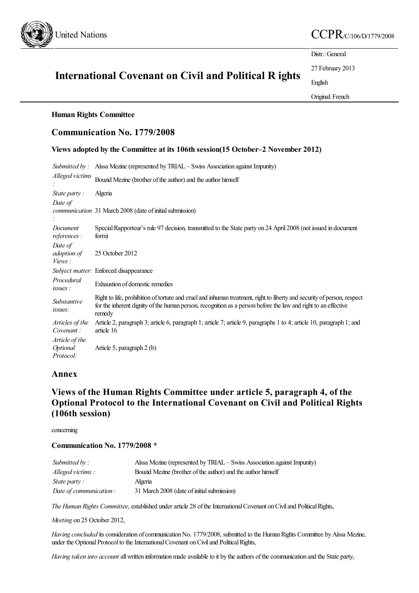

## United Nations  $CCPR_{\text{C/106/D/1779/2008}}$

Distr.: General

27 February 2013

English

Original: French

# International Covenant on Civil and Political R ights

## Human Rights Committee

## Communication No. 1779/2008

## Views adopted by the Committee at its 106th session(15 October–2 November 2012)

|                                         | Submitted by: Aissa Mezine (represented by TRIAL – Swiss Association against Impunity)                                                                                                                                                              |
|-----------------------------------------|-----------------------------------------------------------------------------------------------------------------------------------------------------------------------------------------------------------------------------------------------------|
| Alleged victims                         | Bouzid Mezine (brother of the author) and the author himself                                                                                                                                                                                        |
| State party:                            | Algeria                                                                                                                                                                                                                                             |
| Date of                                 | communication 31 March 2008 (date of initial submission)                                                                                                                                                                                            |
| Document<br><i>references</i> :         | Special Rapporteur's rule 97 decision, transmitted to the State party on 24 April 2008 (not issued in document<br>form)                                                                                                                             |
| Date of<br>adoption of<br>Views:        | 25 October 2012                                                                                                                                                                                                                                     |
|                                         | Subject matter: Enforced disappearance                                                                                                                                                                                                              |
| Procedural<br>issues:                   | Exhaustion of domestic remedies                                                                                                                                                                                                                     |
| Substantive<br>issues:                  | Right to life, prohibition of torture and cruel and inhuman treatment, right to liberty and security of person, respect<br>for the inherent dignity of the human person, recognition as a person before the law and right to an effective<br>remedy |
| Articles of the<br>Covenant:            | Article 2, paragraph 3; article 6, paragraph 1; article 7; article 9, paragraphs 1 to 4; article 10, paragraph 1; and<br>article 16                                                                                                                 |
| Article of the<br>Optional<br>Protocol: | Article 5, paragraph 2 (b)                                                                                                                                                                                                                          |

## Annex

## Views of the Human Rights Committee under article 5, paragraph 4, of the Optional Protocol to the International Covenant on Civil and Political Rights (106th session)

concerning

## Communication No. 1779/2008 \*

| Submitted by :          | Aissa Mezine (represented by TRIAL – Swiss Association against Impunity) |
|-------------------------|--------------------------------------------------------------------------|
| Alleged victims:        | Bouzid Mezine (brother of the author) and the author himself             |
| <i>State party:</i>     | Algeria                                                                  |
| Date of communication : | 31 March 2008 (date of initial submission)                               |

*The Human Rights Committee*, established under article 28 of the International Covenant on Civil and Political Rights,

*Meeting* on 25 October 2012,

*Having concluded* its consideration of communication No. 1779/2008, submitted to the Human Rights Committee by Aîssa Mezine, under the Optional Protocol to the International Covenant on Civil and Political Rights,

*Having taken into account* all written information made available to it by the authors of the communication and the State party,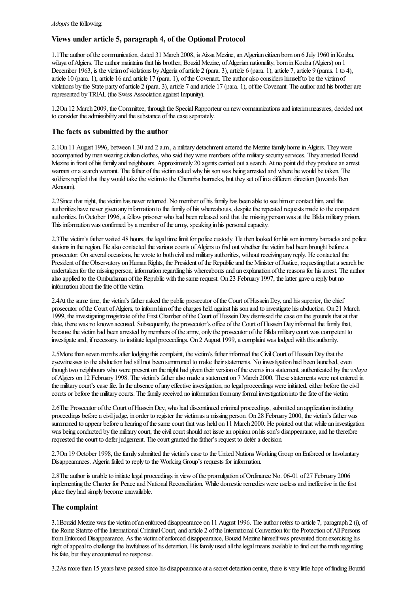## Views under article 5, paragraph 4, of the Optional Protocol

1.1Theauthor ofthecommunication, dated 31 March 2008, is Aîssa Mezine,anAlgerian citizen born on 6 July 1960 inKouba, wilaya of Algiers. The author maintains that his brother, Bouzid Mezine, of Algerian nationality, born in Kouba (Algiers) on 1 December 1963, is the victim of violations by Algeria of article 2 (para. 3), article 6 (para. 1), article 7, article 9 (paras. 1 to 4), article 10 (para. 1), article 16 and article 17 (para. 1), of the Covenant. The author also considers himself to be the victim of violations by the State party of article 2 (para. 3), article 7 and article 17 (para. 1), of the Covenant. The author and his brother are represented byTRIAL (the Swiss Association against Impunity).

1.2On 12 March 2009, the Committee, through the SpecialRapporteur on newcommunicationsand interimmeasures, decided not to consider the admissibility and the substance of the case separately.

#### The facts as submitted by the author

2.1On 11 August 1996, between 1.30 and 2 a.m., a military detachment entered the Mezine family home in Algiers. They were accompanied by men wearing civilian clothes, who said they were members of the military security services. They arrested Bouzid Mezine in front of his family and neighbours. Approximately 20 agents carried out a search. At no point did they produce an arrest warrant or a search warrant. The father of the victim asked why his son was being arrested and where he would be taken. The soldiers replied that they would take the victim to the Cherarba barracks, but they set off in a different direction (towards Ben Aknoum).

2.2Since that night, the victim has never returned. No member of his family has been able to see him or contact him, and the authorities have never given any information to the family of his whereabouts, despite the repeated requests made to the competent authorities. In October 1996, a fellow prisoner who had been released said that the missing person was at the Blida military prison. This information was confirmed by a member of the army, speaking in his personal capacity.

2.3The victim's father waited 48 hours, the legal time limit for police custody. He then looked for his son in many barracks and police stations in the region. He also contacted the various courts of Algiers to find out whether the victim had been brought before a prosecutor. On several occasions, he wroteto both civiland military authorities, without receiving any reply. Hecontacted the President of the Observatory on Human Rights, the President of the Republic and the Minister of Justice, requesting that a search be undertaken for the missing person, information regarding his whereaboutsand an explanation ofthereasons for hisarrest. Theauthor also applied to the Ombudsman of the Republic with the same request. On 23 February 1997, the latter gave a reply but no information about the fate of the victim.

2.4At the same time, the victim's father asked the public prosecutor of the Court of Hussein Dey, and his superior, the chief prosecutor of the Court of Algiers, to inform him of the charges held against his son and to investigate his abduction. On 21 March 1999, theinvestigatingmagistrate ofthe First Chamber ofthe Court ofHusseinDey dismissed thecase on the grounds thatat that date, there was no known accused. Subsequently, the prosecutor's office of the Court of Hussein Dev informed the family that, because the victim had been arrested by members of the army, only the prosecutor of the Blida military court was competent to investigate and, if necessary, to institute legal proceedings. On 2 August 1999, a complaint was lodged with this authority.

2.5More than seven months after lodging this complaint, the victim's father informed the Civil Court of Hussein Dey that the eyewitnesses to the abduction had still not been summoned to make their statements. No investigation had been launched, even though two neighbours who were present on the night had given their version of the events in a statement, authenticated by the *wilaya* of Algiers on 12 February 1998. The victim's father also made a statement on 7 March 2000. These statements were not entered in the military court's case file. In the absence of any effective investigation, no legal proceedings were initiated, either before the civil courts or before the military courts. The family received no information from any formal investigation into the fate of the victim.

2.6The Prosecutor ofthe Court ofHusseinDey, who had discontinued criminal proceedings, submitted an application instituting proceedings before a civil judge, in order to register the victimas a missing person. On 28 February 2000, the victim's father was summoned to appear before a hearing of the same court that was held on 11 March 2000. He pointed out that while an investigation was being conducted by the military court, the civil court should not issue an opinion on his son's disappearance, and he therefore requested the court to defer judgement. The court granted the father's request to defer a decision.

2.7On 19 October 1998, the family submitted the victim's case to the United Nations Working Group on Enforced or Involuntary Disappearances. Algeria failed to reply to the Working Group's requests for information.

2.8The author is unable to initiate legal proceedings in view of the promulgation of Ordinance No. 06-01 of 27 February 2006 implementing the Charter for Peace and National Reconciliation. While domestic remedies were useless and ineffective in the first place they had simply become unavailable.

#### The complaint

3.1Bouzid Mezine was the victimofan enforced disappearance on 11 August 1996. Theauthor refers to article 7, paragraph 2 (i), of the Rome Statute of the International Criminal Court, and article 2 of the International Convention for the Protection of All Persons from Enforced Disappearance. As the victim of enforced disappearance, Bouzid Mezine himself was prevented from exercising his right of appeal to challenge the lawfulness of his detention. His family used all the legal means available to find out the truth regarding his fate, but they encountered no response.

3.2As more than 15 years have passed since his disappearance at a secret detention centre, there is very little hope of finding Bouzid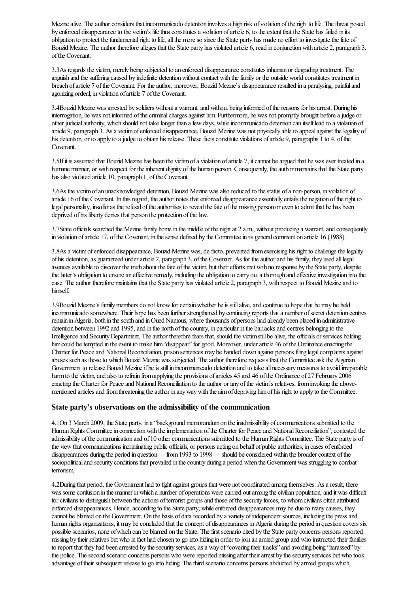Mezine alive. The author considers that incommunicado detention involves a high risk of violation of the right to life. The threat posed by enforced disappearance to the victim's life thus constitutes a violation of article 6, to the extent that the State has failed in its obligation to protect the fundamental right to life, all the more so since the State party has made no effort to investigate the fate of Bouzid Mezine. The author therefore alleges that the State party has violated article 6, read in conjunction with article 2, paragraph 3, ofthe Covenant.

3.3As regards the victim, merely being subjected to an enforced disappearanceconstitutes inhuman or degrading treatment. The anguish and the suffering caused by indefinite detention without contact with the family or the outside world constitutes treatment in breach of article 7 of the Covenant. For the author, moreover, Bouzid Mezine's disappearance resulted in a paralysing, painful and agonizing ordeal, in violation of article 7 of the Covenant.

3.4Bouzid Mezine was arrested by soldiers without a warrant, and without being informed of the reasons for his arrest. During his interrogation, he was not informed of the criminal charges against him. Furthermore, he was not promptly brought before a judge or other judicial authority, which should not take longer than a few days, while incommunicado detention can itself lead to a violation of article 9, paragraph 3. As a victim of enforced disappearance, Bouzid Mezine was not physically able to appeal against the legality of his detention, or to apply to a judge to obtain his release. These facts constitute violations of article 9, paragraphs 1 to 4, of the Covenant.

3.5If it is assumed that Bouzid Mezine has been the victim of a violation of article 7, it cannot be argued that he was ever treated in a humane manner, or with respect for the inherent dignity of the human person. Consequently, the author maintains that the State party has also violated article 10, paragraph 1, of the Covenant.

3.6As the victimofan unacknowledged detention, Bouzid Mezine wasalso reduced to thestatus ofa non-person, in violation of article 16 of the Covenant. In this regard, the author notes that enforced disappearance essentially entails the negation of the right to legal personality, insofar as the refusal of the authorities to reveal the fate of the missing person or even to admit that he has been deprived of his liberty denies that person the protection of the law.

3.7State officials searched the Mezine family home in the middle of the night at 2 a.m., without producing a warrant, and consequently in violation of article 17, of the Covenant, in the sense defined by the Committee in its general comment on article 16 (1988).

3.8As a victim of enforced disappearance, Bouzid Mezine was, de facto, prevented from exercising his right to challenge the legality of his detention, as guaranteed under article 2, paragraph 3, of the Covenant. As for the author and his family, they used all legal avenues available to discover the truth about the fate of the victim, but their efforts met with no response by the State party, despite the latter's obligation to ensure an effective remedy, including the obligation to carry out a thorough and effective investigation into the case. The author therefore maintains that the State party has violated article 2, paragraph 3, with respect to Bouzid Mezine and to himself.

3.9Bouzid Mezine's family members do not know for certain whether he is still alive, and continue to hope that he may be held incommunicado somewhere. Their hope has been further strengthened by continuing reports that a number of secret detention centres remain in Algeria, both in the south and in Oued Namous, where thousands of persons had already been placed in administrative detention between 1992 and 1995, and in the north of the country, in particular in the barracks and centres belonging to the Intelligence and Security Department. The author therefore fears that, should the victim still be alive, the officials or services holding him could be tempted in the event to make him "disappear" for good. Moreover, under article 46 of the Ordinance enacting the Charter for Peace and National Reconciliation, prison sentences may be handed down against persons filing legal complaints against abuses such as those to which Bouzid Mezine was subjected. The author therefore requests that the Committee ask the Algerian Government to release Bouzid Mezine if he is still in incommunicado detention and to take all necessary measures to avoid irreparable harm to the victim, and also to refrain from applying the provisions of articles 45 and 46 of the Ordinance of 27 February 2006 enacting the Charter for Peace and National Reconciliation to the author or any of the victim's relatives, from invoking the abovementioned articles and from threatening the author in any way with the aim of depriving him of his right to apply to the Committee.

#### State party's observations on the admissibility of the communication

4.1On 3 March 2009, the State party, in a"background memorandumon theinadmissibility ofcommunications submitted to the Human Rights Committee in connection with the implementation of the Charter for Peace and National Reconciliation", contested the admissibility of the communication and of 10 other communications submitted to the Human Rights Committee. The State party is of the view that communications incriminating public officials, or persons acting on behalf of public authorities, in cases of enforced disappearances during the period in question— from 1993 to 1998 — should be considered within the broader context of the sociopolitical and security conditions that prevailed in the country during a period when the Government was struggling to combat terrorism.

4.2During that period, the Government had to fight against groups that were not coordinated among themselves. As a result, there was some confusion in the manner in which a number of operations were carried out among the civilian population, and it was difficult for civilians to distinguish between the actions of terrorist groups and those of the security forces, to whom civilians often attributed enforced disappearances. Hence, according to the State party, while enforced disappearances may be due to many causes, they cannot be blamed on the Government. On the basis of data recorded by a variety of independent sources, including the press and human rights organizations, it may be concluded that the concept of disappearances in Algeria during the period in question covers six possible scenarios, none of which can be blamed on the State. The first scenario cited by the State party concerns persons reported missing by their relatives but who in fact had chosen to go into hiding in order to join an armed group and who instructed their families to report that they had been arrested by the security services, as a way of "covering their tracks" and avoiding being "harassed" by the police. The second scenario concerns persons who were reported missing after their arrest by the security services but who took advantage of their subsequent release to go into hiding. The third scenario concerns persons abducted by armed groups which,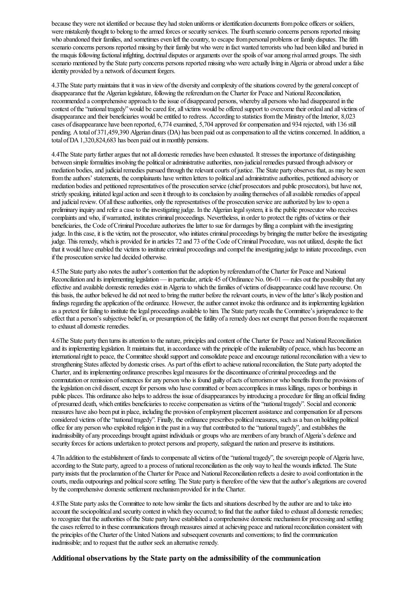because they were not identified or because they had stolen uniforms or identification documents from police officers or soldiers, were mistakenly thought to belong to the armed forces or security services. The fourth scenario concerns persons reported missing who abandoned their families, and sometimes even left the country, to escape from personal problems or family disputes. The fifth scenario concerns persons reported missing by their family but who were in fact wanted terrorists who had been killed and buried in the maquis following factional infighting, doctrinal disputes or arguments over the spoils of war among rival armed groups. The sixth scenario mentioned by the State party concerns persons reported missing who were actually living in Algeria or abroad under a false identity provided by a network of document forgers.

4.3The State partymaintains that it was in viewofthe diversity and complexity ofthesituationscovered by the generalconcept of disappearance that the Algerian legislature, following the referendum on the Charter for Peace and National Reconciliation. recommended a comprehensive approach to the issue of disappeared persons, whereby all persons who had disappeared in the context of the "national tragedy" would be cared for, all victims would be offered support to overcome their ordeal and all victims of disappearance and their beneficiaries would be entitled to redress. According to statistics from the Ministry of the Interior, 8,023 cases of disappearance have been reported, 6,774 examined, 5,704 approved forcompensation and 934 rejected, with 136 still pending. A total of 371,459,390 Algerian dinars (DA) has been paid out as compensation to all the victims concerned. In addition, a total of DA 1,320,824,683 has been paid out in monthly pensions.

4.4The State party further argues that not all domestic remedies have been exhausted. It stresses the importance of distinguishing between simple formalities involving the political or administrative authorities, non-judicial remedies pursued through advisory or mediation bodies, and judicial remedies pursued through the relevant courts of justice. The State party observes that, as may be seen from the authors' statements, the complainants have written letters to political and administrative authorities, petitioned advisory or mediation bodies and petitioned representatives of the prosecution service (chief prosecutors and public prosecutors), but have not, strictly speaking, initiated legal action and seen it through to its conclusion by availing themselves of all available remedies of appeal and judicial review. Of all these authorities, only the representatives of the prosecution service are authorized by law to open a preliminary inquiry and refer a case to the investigating judge. In the Algerian legal system, it is the public prosecutor who receives complaints and who, if warranted, institutes criminal proceedings. Nevertheless, in order to protect the rights of victims or their beneficiaries, the Code of Criminal Procedure authorizes the latter to sue for damages by filing a complaint with the investigating judge. In this case, it is the victim, not the prosecutor, who initiates criminal proceedings by bringing the matter before the investigating judge. This remedy, which is provided for in articles 72 and 73 of the Code of Criminal Procedure, was not utilized, despite the fact that it would have enabled the victims to institute criminal proceedings and compel the investigating judge to initiate proceedings, even if the prosecution service had decided otherwise.

4.5The State party also notes the author's contention that the adoption by referendum of the Charter for Peace and National Reconciliation and its implementing legislation— in particular, article 45 of Ordinance No. 06-01 — rules out the possibility that any effective and available domestic remedies exist in Algeria to which the families of victims of disappearance could have recourse. On this basis, the author believed he did not need to bring the matter before the relevant courts, in view of the latter's likely position and findings regarding the application of the ordinance. However, the author cannot invoke this ordinance and its implementing legislation as a pretext for failing to institute the legal proceedings available to him. The State party recalls the Committee's jurisprudence to the effect that a person's subjective belief in, or presumption of, the futility of a remedy does not exempt that person from the requirement to exhaust all domestic remedies.

4.6The State party then turns itsattention to the nature, principlesand content ofthe Charter for Peaceand NationalReconciliation and its implementing legislation. It maintains that, in accordance with the principle of the inalienability of peace, which has become an international right to peace, the Committee should support and consolidate peace and encourage national reconciliation with a view to strengthening States affected by domestic crises. As part of this effort to achieve national reconciliation, the State party adopted the Charter, and its implementing ordinance prescribes legal measures for the discontinuance of criminal proceedings and the commutation or remission of sentences for any person who is found guilty of acts of terrorism or who benefits from the provisions of the legislation on civil dissent, except for persons who have committed or been accomplices in mass killings, rapes or bombings in public places. This ordinance also helps to address the issue of disappearances by introducing a procedure for filing an official finding of presumed death, which entitles beneficiaries to receive compensation as victims of the "national tragedy". Social and economic measures have also been put in place, including the provision of employment placement assistance and compensation for all persons considered victims of the "national tragedy". Finally, the ordinance prescribes political measures, such as a ban on holding political office for any person who exploited religion in the past in a way that contributed to the "national tragedy", and establishes the inadmissibility of any proceedings brought against individuals or groups who are members of any branch of Algeria's defence and security forces for actions undertaken to protect persons and property, safeguard the nation and preserve its institutions.

4.7In addition to the establishment of funds to compensate all victims of the "national tragedy", the sovereign people of Algeria have, according to the State party, agreed to a process of national reconciliation as the only way to heal the wounds inflicted. The State party insists that the proclamation of the Charter for Peace and National Reconciliation reflects a desire to avoid confrontation in the courts, media outpourings and political score settling. The State party is therefore of the view that the author's allegations are covered by the comprehensive domestic settlement mechanism provided for in the Charter.

4.8The State party asks the Committee to note how similar the facts and situations described by the author are and to take into account the sociopolitical and security context in which they occurred; to find that the author failed to exhaust all domestic remedies; to recognize that the authorities of the State party have established a comprehensive domestic mechanism for processing and settling the cases referred to in these communications through measures aimed at achieving peace and national reconciliation consistent with the principles of the Charter of the United Nations and subsequent covenants and conventions; to find the communication inadmissible; and to request that the author seek an alternative remedy.

#### Additional observations by the State party on the admissibility of the communication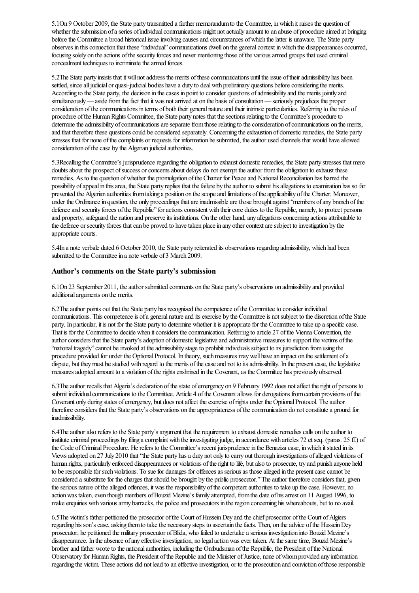5.1On 9 October 2009, the State party transmitted afurther memorandumto the Committee, inwhich it raises the question of whether the submission of a series of individual communications might not actually amount to an abuse of procedure aimed at bringing before the Committee a broad historical issue involving causes and circumstances of which the latter is unaware. The State party observes in thisconnection that these"individual"communications dwell on the generalcontext inwhich the disappearances occurred, focusing solely on the actions of the security forces and never mentioning those of the various armed groups that used criminal concealment techniques to incriminate the armed forces.

5.2The State party insists that it will not address the merits of these communications until the issue of their admissibility has been settled, since all judicial or quasi-judicial bodies have a duty to deal with preliminary questions before considering the merits. According to the State party, the decision in the cases in point to consider questions of admissibility and the merits jointly and simultaneously—aside from the fact that it was not arrived at on the basis of consultation— seriously prejudices the proper consideration of the communications in terms of both their general nature and their intrinsic particularities. Referring to the rules of procedure of the Human Rights Committee, the State party notes that the sections relating to the Committee's procedure to determine the admissibility of communications are separate from those relating to the consideration of communications on the merits, and that therefore these questions could be considered separately. Concerning the exhaustion of domestic remedies, the State party stresses that for none of the complaints or requests for information he submitted, the author used channels that would have allowed consideration of the case by the Algerian judicial authorities.

5.3Recalling the Committee's jurisprudence regarding the obligation to exhaust domestic remedies, the State party stresses that mere doubts about the prospect of success or concerns about delays do not exempt the author from the obligation to exhaust these remedies. As to the question of whether the promulgation of the Charter for Peace and National Reconciliation has barred the possibility of appeal in this area, the State party replies that the failure by the author to submit his allegations to examination has so far prevented the Algerian authorities from taking a position on the scope and limitations of the applicability of the Charter. Moreover, under the Ordinance in question, the only proceedings that are inadmissible are those brought against "members of any branch of the defence and security forces of the Republic" for actions consistent with their core duties to the Republic, namely, to protect persons and property, safeguard the nation and preserve its institutions. On the other hand, any allegations concerning actions attributable to the defence or security forces that can be proved to have taken place in any other context are subject to investigation by the appropriate courts.

5.4In a note verbale dated 6 October 2010, the State party reiterated its observations regarding admissibility, which had been submitted to the Committee in a note verbale of 3 March 2009.

#### Author's comments on the State party's submission

6.1On 23 September 2011, theauthor submitted comments on the State party's observations on admissibility and provided additional arguments on the merits.

6.2The author points out that the State party has recognized the competence of the Committee to consider individual communications. This competence is of a general nature and its exercise by the Committee is not subject to the discretion of the State party. In particular, it is not for the State party to determine whether it is appropriate for the Committee to take up a specific case. That is for the Committee to decide when it considers the communication. Referring to article 27 of the Vienna Convention, the author considers that the State party's adoption of domestic legislative and administrative measures to support the victims of the "national tragedy" cannot be invoked at the admissibility stage to prohibit individuals subject to its jurisdiction from using the procedure provided for under the Optional Protocol. In theory, such measures may well have an impact on the settlement of a dispute, but they must be studied with regard to the merits of the case and not to its admissibility. In the present case, the legislative measures adopted amount to a violation of the rights enshrined in the Covenant, as the Committee has previously observed.

6.3The author recalls that Algeria's declaration of the state of emergency on 9 February 1992 does not affect the right of persons to submit individual communications to the Committee. Article 4 of the Covenant allows for derogations from certain provisions of the Covenant only during states of emergency, but does not affect the exercise of rights under the Optional Protocol. The author therefore considers that the State party's observations on the appropriateness of the communication do not constitute a ground for inadmissibility.

6.4The author also refers to the State party's argument that the requirement to exhaust domestic remedies calls on the author to institute criminal proceedings by filing a complaint with the investigating judge, in accordance with articles 72 et seq. (paras. 25 ff.) of the Code of Criminal Procedure. He refers to the Committee's recent jurisprudence in the Benaziza case, in which it stated in its Views adopted on 27 July 2010 that "the State party has a duty not only to carry out thorough investigations of alleged violations of human rights, particularly enforced disappearances or violations oftheright to life, butalso to prosecute, try and punish anyone held to be responsible for such violations. To sue for damages for offences as serious as those alleged in the present case cannot be considered a substitute for the charges that should be brought by the public prosecutor." The author therefore considers that, given the serious nature of the alleged offences, it was the responsibility of the competent authorities to take up the case. However, no action was taken, even though members of Bouzid Mezine's family attempted, from the date of his arrest on 11 August 1996, to make enquiries with various army barracks, the police and prosecutors in the region concerning his whereabouts, but to no avail.

6.5The victim's father petitioned the prosecutor of the Court of Hussein Dey and the chief prosecutor of the Court of Algiers regarding his son's case, asking them to take the necessary steps to ascertain the facts. Then, on the advice of the Hussein Dey prosecutor, he petitioned the military prosecutor of Blida, who failed to undertake a serious investigation into Bouzid Mezine's disappearance. In the absence of any effective investigation, no legal action was ever taken. At the same time, Bouzid Mezine's brother and father wrote to the national authorities, including the Ombudsman of the Republic, the President of the National Observatory for Human Rights, the President of the Republic and the Minister of Justice, none of whom provided any information regarding the victim. These actions did not lead to an effective investigation, or to the prosecution and conviction of those responsible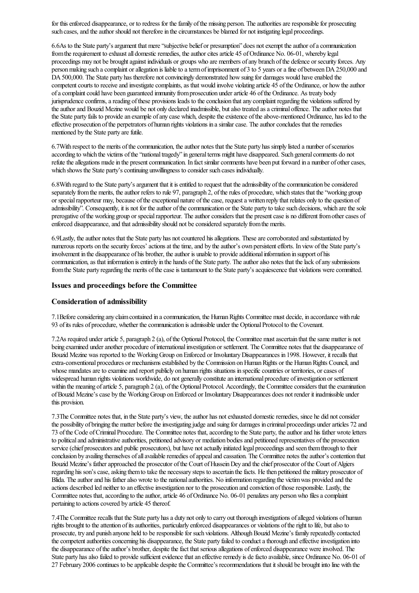for this enforced disappearance, or to redress for the family of the missing person. The authorities are responsible for prosecuting such cases, and the author should not therefore in the circumstances be blamed for not instigating legal proceedings.

6.6As to the State party's argument that mere "subjective belief or presumption" does not exempt the author of a communication from the requirement to exhaust all domestic remedies, the author cites article 45 of Ordinance No. 06-01, whereby legal proceedings may not be brought against individuals or groups who are members of any branch of the defence or security forces. Any person making such a complaint or allegation is liable to a term of imprisonment of 3 to 5 years or a fine of between DA 250,000 and DA 500,000. The State party has therefore not convincingly demonstrated how suing for damages would have enabled the competent courts to receive and investigate complaints, as that would involve violating article 45 of the Ordinance, or how the author of a complaint could have been guaranteed immunity from prosecution under article 46 of the Ordinance. As treaty body jurisprudence confirms, a reading of these provisions leads to the conclusion that any complaint regarding the violations suffered by the author and Bouzid Mezine would be not only declared inadmissible, but also treated as a criminal offence. The author notes that the State party fails to provide an example of any case which, despite the existence of the above-mentioned Ordinance, has led to the effective prosecution of the perpetrators of human rights violations in a similar case. The author concludes that the remedies mentioned by the State party are futile.

6.7With respect to the merits of the communication, the author notes that the State party has simply listed a number of scenarios according to which the victims of the "national tragedy" in general terms might have disappeared. Such general comments do not refute the allegations made in the present communication. In fact similar comments have been put forward in a number of other cases, which shows the State party's continuing unwillingness to consider such cases individually.

6.8With regard to the State party's argument that it is entitled to request that the admissibility of the communication be considered separately from the merits, the author refers to rule 97, paragraph 2, of the rules of procedure, which states that the "working group or special rapporteur may, because of the exceptional nature of the case, request a written reply that relates only to the question of admissibility". Consequently, it is not for the author of the communication or the State party to take such decisions, which are the sole prerogative of the working group or special rapporteur. The author considers that the present case is no different from other cases of enforced disappearance, and that admissibility should not be considered separately from the merits.

6.9Lastly, the author notes that the State party has not countered his allegations. These are corroborated and substantiated by numerous reports on the security forces' actions at the time, and by the author's own persistent efforts. In view of the State party's involvement in the disappearance of his brother, the author is unable to provide additional information in support of his communication, as that information is entirely in the hands of the State party. The author also notes that the lack of any submissions from the State party regarding the merits of the case is tantamount to the State party's acquiescence that violations were committed.

#### Issues and proceedings before the Committee

#### Consideration of admissibility

7.1Beforeconsidering any claimcontained in acommunication, the HumanRights Committee must decide, in accordance with rule 93 of its rules of procedure, whether the communication is admissible under the Optional Protocol to the Covenant.

7.2As required under article 5, paragraph 2 (a), of the Optional Protocol, the Committee must ascertain that the same matter is not being examined under another procedure of international investigation or settlement. The Committee notes that the disappearance of Bouzid Mezine was reported to the Working Group on Enforced or Involuntary Disappearances in 1998. However, it recalls that extra-conventional procedures or mechanisms established by the Commission on Human Rights or the Human Rights Council, and whose mandates are to examine and report publicly on human rights situations in specific countries or territories, or cases of widespread human rights violations worldwide, do not generally constitute an international procedure of investigation or settlement within the meaning of article 5, paragraph 2 (a), of the Optional Protocol. Accordingly, the Committee considers that the examination ofBouzid Mezine'scase by the WorkingGroup onEnforced or InvoluntaryDisappearances does not render it inadmissible under this provision.

7.3The Committee notes that, in the State party's view, the author has not exhausted domestic remedies, since he did not consider the possibility of bringing the matter before the investigating judge and suing for damages in criminal proceedings under articles 72 and 73 of the Code of Criminal Procedure. The Committee notes that, according to the State party, the author and his father wrote letters to political and administrative authorities, petitioned advisory or mediation bodies and petitioned representatives of the prosecution service (chief prosecutors and public prosecutors), but have not actually initiated legal proceedings and seen them through to their conclusion by availing themselves of all available remedies of appeal and cassation. The Committee notes the author's contention that Bouzid Mezine's father approached the prosecutor of the Court of Hussein Dey and the chief prosecutor of the Court of Algiers regarding his son's case, asking them to take the necessary steps to ascertain the facts. He then petitioned the military prosecutor of Blida. The author and his father also wrote to the national authorities. No information regarding the victim was provided and the actions described led neither to an effective investigation nor to the prosecution and conviction of those responsible. Lastly, the Committee notes that, according to the author, article 46 of Ordinance No. 06-01 penalizes any person who files a complaint pertaining to actions covered by article 45 thereof.

7.4The Committee recalls that the State party has a duty not only to carry out thorough investigations of alleged violations of human rights brought to the attention of its authorities, particularly enforced disappearances or violations of the right to life, but also to prosecute, try and punish anyone held to be responsible for such violations. Although Bouzid Mezine's family repeatedly contacted the competent authorities concerning his disappearance, the State party failed to conduct a thorough and effective investigation into the disappearance of the author's brother, despite the fact that serious allegations of enforced disappearance were involved. The State party has also failed to provide sufficient evidence that an effective remedy is de facto available, since Ordinance No. 06-01 of 27 February 2006 continues to be applicable despite the Committee's recommendations that it should be brought into line with the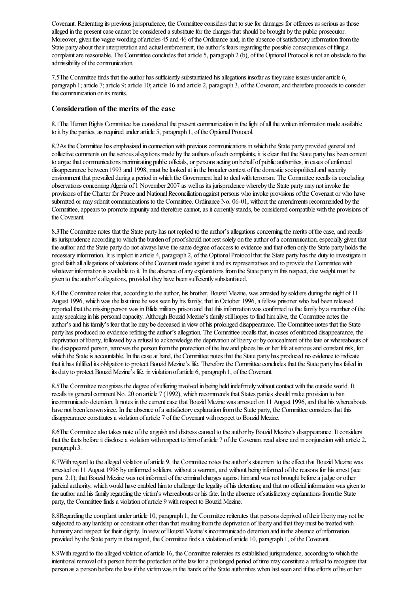Covenant. Reiterating its previous jurisprudence, the Committee considers that to sue for damages for offences as serious as those alleged in the present case cannot be considered a substitute for the charges that should be brought by the public prosecutor. Moreover, given the vague wording of articles 45 and 46 of the Ordinance and, in the absence of satisfactory information from the State party about their interpretation and actual enforcement, the author's fears regarding the possible consequences of filing a complaint are reasonable. The Committee concludes that article 5, paragraph 2 (b), of the Optional Protocol is not an obstacle to the admissibility of the communication.

7.5The Committee finds that the author has sufficiently substantiated his allegations insofar as they raise issues under article 6, paragraph 1; article 7; article 9; article 10; article 16 and article 2, paragraph 3, of the Covenant, and therefore proceeds to consider the communication on its merits.

#### Consideration of the merits of the case

8.1The Human Rights Committee has considered the present communication in the light of all the written information made available to it by the parties, as required under article 5, paragraph 1, of the Optional Protocol.

8.2As the Committee has emphasized in connection with previous communications in which the State party provided general and collective comments on the serious allegations made by the authors of such complaints, it is clear that the State party has been content to argue that communications incriminating public officials, or persons acting on behalf of public authorities, in cases of enforced disappearance between 1993 and 1998, must be looked at in the broader context of the domestic sociopolitical and security environment that prevailed during a period in which the Government had to deal with terrorism. The Committee recalls its concluding observations concerning Algeria of 1 November 2007 as well as its jurisprudence whereby the State party may not invoke the provisions of the Charter for Peace and National Reconciliation against persons who invoke provisions of the Covenant or who have submitted or may submit communications to the Committee. Ordinance No. 06-01, without the amendments recommended by the Committee, appears to promote impunity and therefore cannot, as it currently stands, be considered compatible with the provisions of the Covenant.

8.3The Committee notes that the State party has not replied to the author's allegations concerning the merits of the case, and recalls its jurisprudence according to which the burden of proof should not rest solely on the author of a communication, especially given that the author and the State party do not always have the same degree of access to evidence and that often only the State party holds the necessary information. It is implicit in article 4, paragraph 2, of the Optional Protocol that the State party has the duty to investigate in good faith all allegations of violations of the Covenant made against it and its representatives and to provide the Committee with whatever information is available to it. In the absence of any explanations from the State party in this respect, due weight must be given to the author's allegations, provided they have been sufficiently substantiated.

8.4The Committee notes that, according to the author, his brother, Bouzid Mezine, was arrested by soldiers during the night of 11 August 1996, which was the last time he was seen by his family; that in October 1996, a fellow prisoner who had been released reported that the missing person was in Blida military prison and that this information was confirmed to the family by a member of the army speaking in his personal capacity. Although Bouzid Mezine's family still hopes to find him alive, the Committee notes the author'sand his family's fear that he may be deceased in viewof his prolonged disappearance. The Committee notes that the State party has produced no evidence refuting the author's allegation. The Committee recalls that, in cases of enforced disappearance, the deprivation of liberty, followed by a refusal to acknowledge the deprivation of liberty or by concealment of the fate or whereabouts of the disappeared person, removes the person from the protection of the law and places his or her life at serious and constant risk, for which the State is accountable. In the case at hand, the Committee notes that the State party has produced no evidence to indicate that it has fulfilled its obligation to protect Bouzid Mezine's life. Therefore the Committee concludes that the State party has failed in its duty to protect Bouzid Mezine's life, in violation of article 6, paragraph 1, of the Covenant.

8.5The Committee recognizes the degree of suffering involved in being held indefinitely without contact with the outside world. It recalls its general comment No. 20 on article 7 (1992), which recommends that States parties should make provision to ban incommunicado detention. It notes in the current case that Bouzid Mezine was arrested on 11 August 1996, and that his whereabouts have not been known since. In the absence of a satisfactory explanation from the State party, the Committee considers that this disappearance constitutes a violation of article 7 of the Covenant with respect to Bouzid Mezine.

8.6The Committee also takes note of the anguish and distress caused to the author by Bouzid Mezine's disappearance. It considers that the facts before it disclose a violation with respect to him of article 7 of the Covenant read alone and in conjunction with article 2, paragraph 3.

8.7With regard to the alleged violation of article 9, the Committee notes the author's statement to the effect that Bouzid Mezine was arrested on 11 August 1996 by uniformed soldiers, without a warrant, and without being informed of the reasons for his arrest (see para. 2.1); that Bouzid Mezine was not informed of the criminal charges against him and was not brought before a judge or other judicial authority, which would have enabled him to challenge the legality of his detention; and that no official information was given to the author and his family regarding the victim's whereabouts or his fate. In the absence of satisfactory explanations from the State party, the Committee finds a violation of article 9 with respect to Bouzid Mezine.

8.8Regarding the complaint under article 10, paragraph 1, the Committee reiterates that persons deprived of their liberty may not be subjected to any hardship or constraint other than that resulting from the deprivation of liberty and that they must be treated with humanity and respect for their dignity. In view of Bouzid Mezine's incommunicado detention and in the absence of information provided by the State party in that regard, the Committeefindsa violation ofarticle 10, paragraph 1, ofthe Covenant.

8.9With regard to the alleged violation of article 16, the Committee reiterates its established jurisprudence, according to which the intentional removal of a person from the protection of the law for a prolonged period of time may constitute a refusal to recognize that person as a person before the law if the victim was in the hands of the State authorities when last seen and if the efforts of his or her